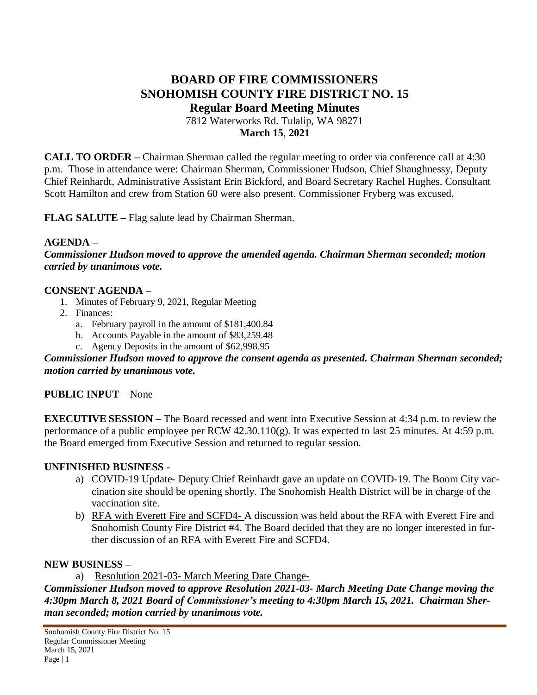# **BOARD OF FIRE COMMISSIONERS SNOHOMISH COUNTY FIRE DISTRICT NO. 15 Regular Board Meeting Minutes** 7812 Waterworks Rd. Tulalip, WA 98271

**March 15**, **2021**

**CALL TO ORDER –** Chairman Sherman called the regular meeting to order via conference call at 4:30 p.m. Those in attendance were: Chairman Sherman, Commissioner Hudson, Chief Shaughnessy, Deputy Chief Reinhardt, Administrative Assistant Erin Bickford, and Board Secretary Rachel Hughes. Consultant Scott Hamilton and crew from Station 60 were also present. Commissioner Fryberg was excused.

**FLAG SALUTE –** Flag salute lead by Chairman Sherman.

#### **AGENDA –**

*Commissioner Hudson moved to approve the amended agenda. Chairman Sherman seconded; motion carried by unanimous vote.*

#### **CONSENT AGENDA –**

- 1. Minutes of February 9, 2021, Regular Meeting
- 2. Finances:
	- a. February payroll in the amount of \$181,400.84
	- b. Accounts Payable in the amount of \$83,259.48
	- c. Agency Deposits in the amount of \$62,998.95

*Commissioner Hudson moved to approve the consent agenda as presented. Chairman Sherman seconded; motion carried by unanimous vote.*

## **PUBLIC INPUT** – None

**EXECUTIVE SESSION –** The Board recessed and went into Executive Session at 4:34 p.m. to review the performance of a public employee per RCW 42.30.110(g). It was expected to last 25 minutes. At 4:59 p.m. the Board emerged from Executive Session and returned to regular session.

## **UNFINISHED BUSINESS** -

- a) COVID-19 Update- Deputy Chief Reinhardt gave an update on COVID-19. The Boom City vaccination site should be opening shortly. The Snohomish Health District will be in charge of the vaccination site.
- b) RFA with Everett Fire and SCFD4- A discussion was held about the RFA with Everett Fire and Snohomish County Fire District #4. The Board decided that they are no longer interested in further discussion of an RFA with Everett Fire and SCFD4.

#### **NEW BUSINESS –**

a) Resolution 2021-03- March Meeting Date Change-

*Commissioner Hudson moved to approve Resolution 2021-03- March Meeting Date Change moving the 4:30pm March 8, 2021 Board of Commissioner's meeting to 4:30pm March 15, 2021. Chairman Sherman seconded; motion carried by unanimous vote.*